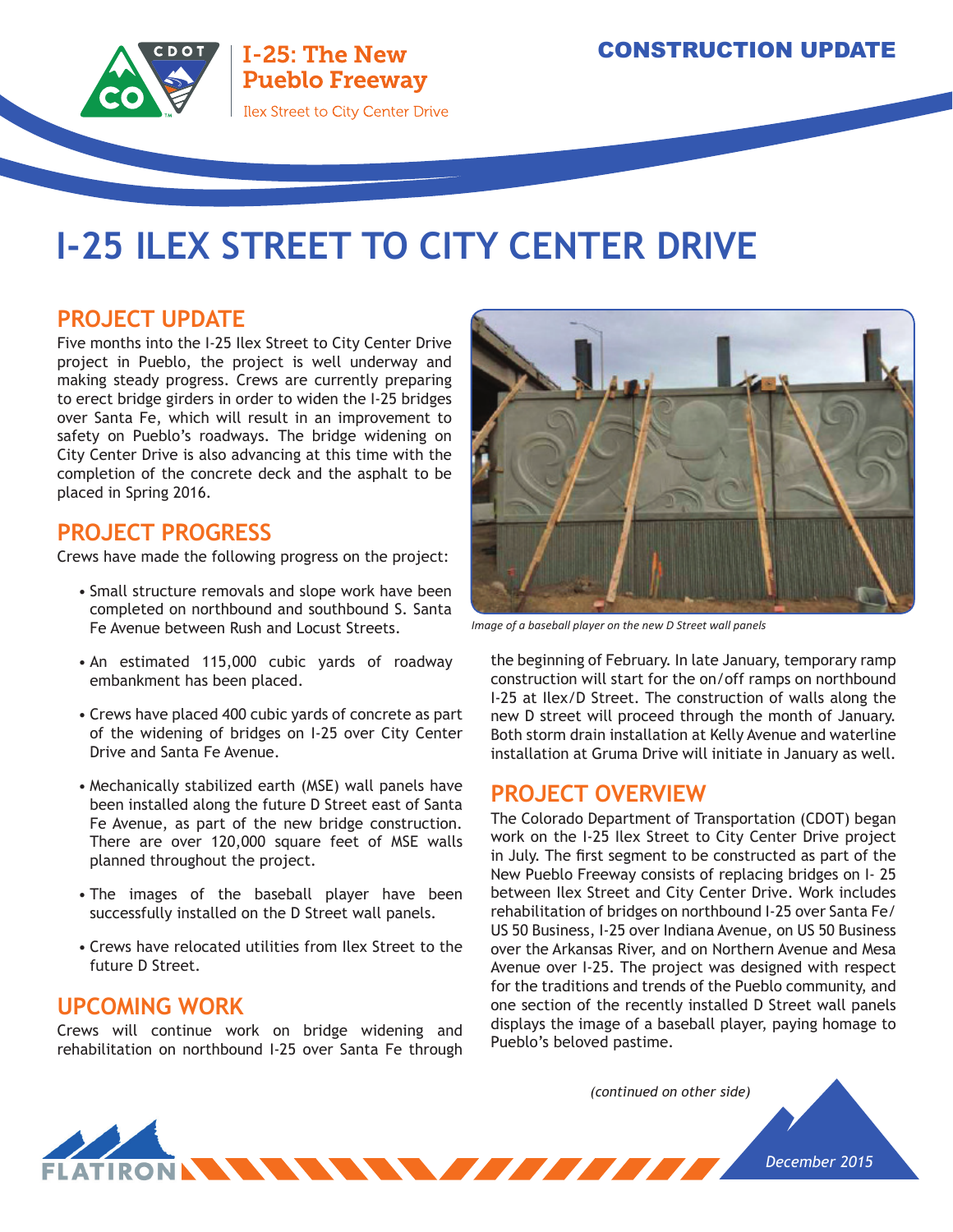

# **I-25 ILEX STREET TO CITY CENTER DRIVE**

## **PROJECT UPDATE**

Five months into the I-25 Ilex Street to City Center Drive project in Pueblo, the project is well underway and making steady progress. Crews are currently preparing to erect bridge girders in order to widen the I-25 bridges over Santa Fe, which will result in an improvement to safety on Pueblo's roadways. The bridge widening on City Center Drive is also advancing at this time with the completion of the concrete deck and the asphalt to be placed in Spring 2016.

### **PROJECT PROGRESS**

Crews have made the following progress on the project:

- Small structure removals and slope work have been completed on northbound and southbound S. Santa Fe Avenue between Rush and Locust Streets.
- An estimated 115,000 cubic yards of roadway embankment has been placed.
- Crews have placed 400 cubic yards of concrete as part of the widening of bridges on I-25 over City Center Drive and Santa Fe Avenue.
- Mechanically stabilized earth (MSE) wall panels have been installed along the future D Street east of Santa Fe Avenue, as part of the new bridge construction. There are over 120,000 square feet of MSE walls planned throughout the project.
- The images of the baseball player have been successfully installed on the D Street wall panels.
- Crews have relocated utilities from Ilex Street to the future D Street.

#### **UPCOMING WORK**

Crews will continue work on bridge widening and rehabilitation on northbound I-25 over Santa Fe through



*Image of a baseball player on the new D Street wall panels*

the beginning of February. In late January, temporary ramp construction will start for the on/off ramps on northbound I-25 at Ilex/D Street. The construction of walls along the new D street will proceed through the month of January. Both storm drain installation at Kelly Avenue and waterline installation at Gruma Drive will initiate in January as well.

#### **PROJECT OVERVIEW**

The Colorado Department of Transportation (CDOT) began work on the I-25 Ilex Street to City Center Drive project in July. The first segment to be constructed as part of the New Pueblo Freeway consists of replacing bridges on I- 25 between Ilex Street and City Center Drive. Work includes rehabilitation of bridges on northbound I-25 over Santa Fe/ US 50 Business, I-25 over Indiana Avenue, on US 50 Business over the Arkansas River, and on Northern Avenue and Mesa Avenue over I-25. The project was designed with respect for the traditions and trends of the Pueblo community, and one section of the recently installed D Street wall panels displays the image of a baseball player, paying homage to Pueblo's beloved pastime.

*(continued on other side)*